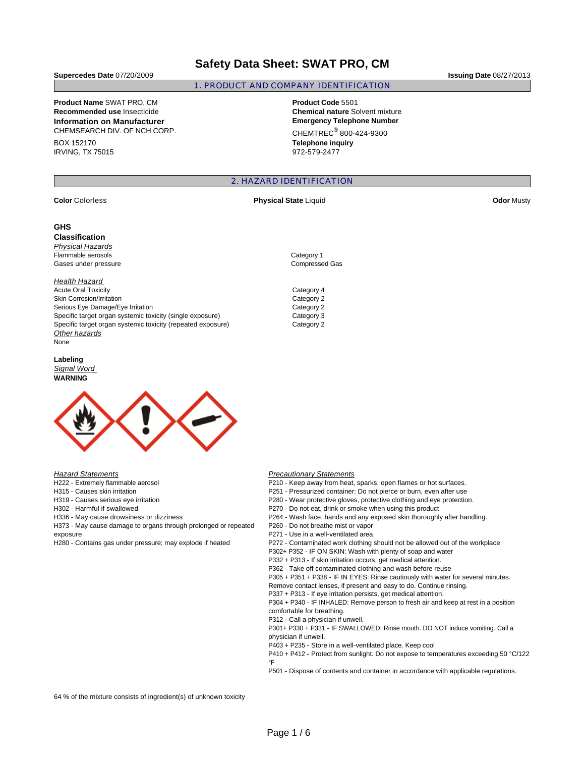## **Safety Data Sheet: SWAT PRO, CM**

1. PRODUCT AND COMPANY IDENTIFICATION

**Supercedes Date** 07/20/2009 **Issuing Date** 08/27/2013

# **Product Name** SWAT PRO, CM **Product Code** 5501

**Information on Manufacturer Emergency Telephone Number** CHEMSEARCH DIV. OF NCH CORP.

BOX 152170 IRVING, TX 75015

**Recommended use** Insecticide **Chemical nature** Solvent mixture  $CHEMTREC<sup>®</sup> 800-424-9300$ **Telephone inquiry**

972-579-2477

## 2. HAZARD IDENTIFICATION

#### **GHS**

**Classification**  Physical Hazards Flammable aerosols **Category 1** Gases under pressure Compressed Gas

## **Health Hazard**

Acute Oral Toxicity **Category 4** Skin Corrosion/Irritation Category 2 Serious Eye Damage/Eye Irritation Category 2 Specific target organ systemic toxicity (single exposure) Category 3 Specific target organ systemic toxicity (repeated exposure) Category 2 Other hazards None

#### **Labeling**  Signal Word **WARNING**



**Hazard Statements** 

H222 - Extremely flammable aerosol

- H315 Causes skin irritation
- H319 Causes serious eye irritation

H302 - Harmful if swallowed

H336 - May cause drowsiness or dizziness

H373 - May cause damage to organs through prolonged or repeated exposure

H280 - Contains gas under pressure; may explode if heated

#### **Precautionary Statements**

P210 - Keep away from heat, sparks, open flames or hot surfaces.

P251 - Pressurized container: Do not pierce or burn, even after use

P280 - Wear protective gloves, protective clothing and eye protection.

P270 - Do not eat, drink or smoke when using this product

- P264 Wash face, hands and any exposed skin thoroughly after handling.
- P260 Do not breathe mist or vapor
- P271 Use in a well-ventilated area.

P272 - Contaminated work clothing should not be allowed out of the workplace

P302+ P352 - IF ON SKIN: Wash with plenty of soap and water

P332 + P313 - If skin irritation occurs, get medical attention.

P362 - Take off contaminated clothing and wash before reuse

P305 + P351 + P338 - IF IN EYES: Rinse cautiously with water for several minutes.

- Remove contact lenses, if present and easy to do. Continue rinsing.
- P337 + P313 If eye irritation persists, get medical attention.

P304 + P340 - IF INHALED: Remove person to fresh air and keep at rest in a position comfortable for breathing.

P312 - Call a physician if unwell.

P301+ P330 + P331 - IF SWALLOWED: Rinse mouth. DO NOT induce vomiting. Call a physician if unwell.

P403 + P235 - Store in a well-ventilated place. Keep cool

P410 + P412 - Protect from sunlight. Do not expose to temperatures exceeding 50 °C/122 °F

P501 - Dispose of contents and container in accordance with applicable regulations.

64 % of the mixture consists of ingredient(s) of unknown toxicity

**Color Colorless Color Color Color Act 2018 Physical State** Liquid **Color Color Musty Odor Musty**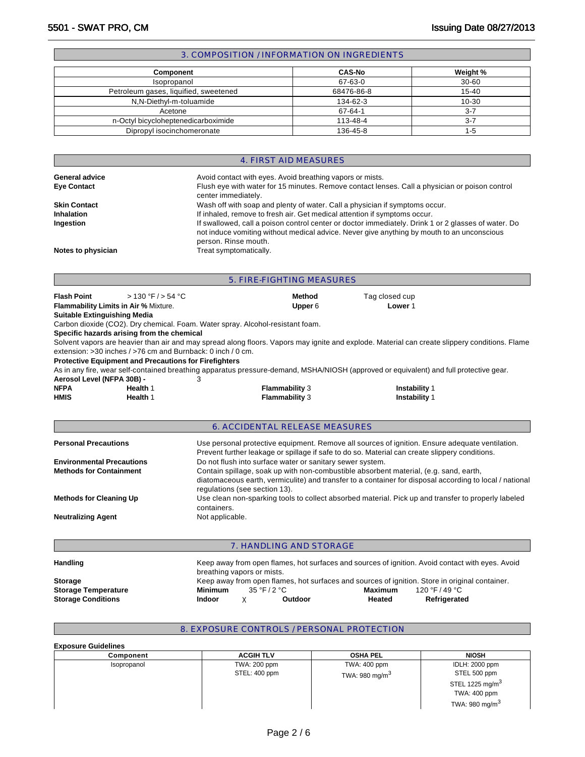| 3. COMPOSITION / INFORMATION ON INGREDIENTS |               |           |  |  |  |
|---------------------------------------------|---------------|-----------|--|--|--|
|                                             |               |           |  |  |  |
| <b>Component</b>                            | <b>CAS-No</b> | Weight %  |  |  |  |
| Isopropanol                                 | 67-63-0       | $30 - 60$ |  |  |  |
| Petroleum gases, liquified, sweetened       | 68476-86-8    | $15 - 40$ |  |  |  |
| N.N-Diethyl-m-toluamide                     | 134-62-3      | $10 - 30$ |  |  |  |
| Acetone                                     | 67-64-1       | $3 - 7$   |  |  |  |

n-Octyl bicycloheptenedicarboximide 113-48-4 3-7 Dipropyl isocinchomeronate 136-45-8 1-5

|                     | 4. FIRST AID MEASURES                                                                                                                                                                                                     |
|---------------------|---------------------------------------------------------------------------------------------------------------------------------------------------------------------------------------------------------------------------|
| General advice      | Avoid contact with eyes. Avoid breathing vapors or mists.                                                                                                                                                                 |
| <b>Eye Contact</b>  | Flush eye with water for 15 minutes. Remove contact lenses. Call a physician or poison control<br>center immediately.                                                                                                     |
| <b>Skin Contact</b> | Wash off with soap and plenty of water. Call a physician if symptoms occur.                                                                                                                                               |
| <b>Inhalation</b>   | If inhaled, remove to fresh air. Get medical attention if symptoms occur.                                                                                                                                                 |
| Ingestion           | If swallowed, call a poison control center or doctor immediately. Drink 1 or 2 glasses of water. Do<br>not induce vomiting without medical advice. Never give anything by mouth to an unconscious<br>person. Rinse mouth. |
| Notes to physician  | Treat symptomatically.                                                                                                                                                                                                    |

|                                                           | 5. FIRE-FIGHTING MEASURES                                    |                            |                                                                                |                                                                                                                                                                                                   |  |  |  |
|-----------------------------------------------------------|--------------------------------------------------------------|----------------------------|--------------------------------------------------------------------------------|---------------------------------------------------------------------------------------------------------------------------------------------------------------------------------------------------|--|--|--|
| <b>Flash Point</b><br><b>Suitable Extinguishing Media</b> | > 130 °F / > 54 °C<br>Flammability Limits in Air % Mixture.  |                            | <b>Method</b><br>Upper 6                                                       | Tag closed cup<br>Lower 1                                                                                                                                                                         |  |  |  |
|                                                           |                                                              |                            | Carbon dioxide (CO2). Dry chemical. Foam. Water spray. Alcohol-resistant foam. |                                                                                                                                                                                                   |  |  |  |
|                                                           | Specific hazards arising from the chemical                   |                            |                                                                                |                                                                                                                                                                                                   |  |  |  |
|                                                           |                                                              |                            |                                                                                | Solvent vapors are heavier than air and may spread along floors. Vapors may ignite and explode. Material can create slippery conditions. Flame                                                    |  |  |  |
|                                                           | extension: >30 inches / >76 cm and Burnback: 0 inch / 0 cm.  |                            |                                                                                |                                                                                                                                                                                                   |  |  |  |
|                                                           | <b>Protective Equipment and Precautions for Firefighters</b> |                            |                                                                                |                                                                                                                                                                                                   |  |  |  |
|                                                           |                                                              |                            |                                                                                | As in any fire, wear self-contained breathing apparatus pressure-demand, MSHA/NIOSH (approved or equivalent) and full protective gear.                                                            |  |  |  |
| Aerosol Level (NFPA 30B) -                                |                                                              | 3                          |                                                                                |                                                                                                                                                                                                   |  |  |  |
| <b>NFPA</b>                                               | Health 1                                                     |                            | <b>Flammability 3</b>                                                          | Instability 1                                                                                                                                                                                     |  |  |  |
| <b>HMIS</b>                                               | Health 1                                                     |                            | Flammability 3                                                                 | Instability 1                                                                                                                                                                                     |  |  |  |
|                                                           |                                                              |                            |                                                                                |                                                                                                                                                                                                   |  |  |  |
|                                                           |                                                              |                            | <b>6. ACCIDENTAL RELEASE MEASURES</b>                                          |                                                                                                                                                                                                   |  |  |  |
| <b>Personal Precautions</b>                               |                                                              |                            |                                                                                | Use personal protective equipment. Remove all sources of ignition. Ensure adequate ventilation.<br>Prevent further leakage or spillage if safe to do so. Material can create slippery conditions. |  |  |  |
| <b>Environmental Precautions</b>                          |                                                              |                            | Do not flush into surface water or sanitary sewer system.                      |                                                                                                                                                                                                   |  |  |  |
| <b>Methods for Containment</b>                            |                                                              |                            | regulations (see section 13).                                                  | Contain spillage, soak up with non-combustible absorbent material, (e.g. sand, earth,<br>diatomaceous earth, vermiculite) and transfer to a container for disposal according to local / national  |  |  |  |
| <b>Methods for Cleaning Up</b>                            |                                                              | containers.                |                                                                                | Use clean non-sparking tools to collect absorbed material. Pick up and transfer to properly labeled                                                                                               |  |  |  |
| <b>Neutralizing Agent</b>                                 |                                                              | Not applicable.            |                                                                                |                                                                                                                                                                                                   |  |  |  |
|                                                           |                                                              |                            |                                                                                |                                                                                                                                                                                                   |  |  |  |
|                                                           |                                                              |                            | 7. HANDLING AND STORAGE                                                        |                                                                                                                                                                                                   |  |  |  |
| Handling                                                  |                                                              | breathing vapors or mists. |                                                                                | Keep away from open flames, hot surfaces and sources of ignition. Avoid contact with eyes. Avoid                                                                                                  |  |  |  |
| <b>Storage</b>                                            |                                                              |                            |                                                                                | Keep away from open flames, hot surfaces and sources of ignition. Store in original container.                                                                                                    |  |  |  |
| <b>Storage Temperature</b>                                |                                                              | <b>Minimum</b>             | 35 °F / 2 °C                                                                   | 120 °F / 49 °C<br><b>Maximum</b>                                                                                                                                                                  |  |  |  |
| <b>Storage Conditions</b>                                 |                                                              | <b>Indoor</b>              | X<br>Outdoor                                                                   | Refrigerated<br>Heated                                                                                                                                                                            |  |  |  |

## 8. EXPOSURE CONTROLS / PERSONAL PROTECTION

**Exposure Guidelines** 

| Component   | <b>ACGIH TLV</b> | <b>OSHA PEL</b>            | <b>NIOSH</b>               |
|-------------|------------------|----------------------------|----------------------------|
| Isopropanol | TWA: 200 ppm     | TWA: 400 ppm               | IDLH: 2000 ppm             |
|             | STEL: 400 ppm    | TWA: 980 mg/m <sup>3</sup> | STEL 500 ppm               |
|             |                  |                            | STEL 1225 mg/m $3$         |
|             |                  |                            | TWA: 400 ppm               |
|             |                  |                            | TWA: 980 mg/m <sup>3</sup> |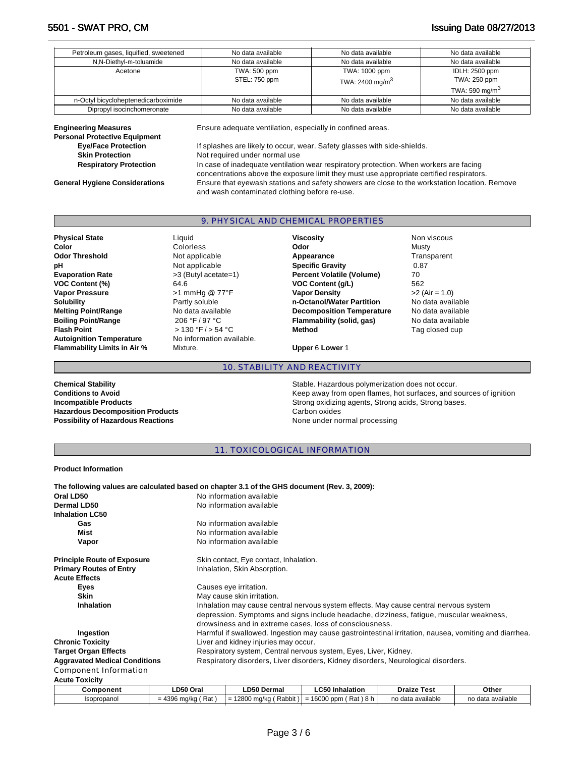| Petroleum gases, liquified, sweetened | No data available | No data available           | No data available |
|---------------------------------------|-------------------|-----------------------------|-------------------|
| N,N-Diethyl-m-toluamide               | No data available | No data available           | No data available |
| Acetone                               | TWA: 500 ppm      | TWA: 1000 ppm               | IDLH: 2500 ppm    |
|                                       | STEL: 750 ppm     | TWA: 2400 mg/m <sup>3</sup> | TWA: 250 ppm      |
|                                       |                   |                             | TWA: 590 mg/m $3$ |
| n-Octyl bicycloheptenedicarboximide   | No data available | No data available           | No data available |
| Dipropyl isocinchomeronate            | No data available | No data available           | No data available |

| <b>Engineering Measures</b><br><b>Personal Protective Equipment</b> | Ensure adequate ventilation, especially in confined areas.                                    |
|---------------------------------------------------------------------|-----------------------------------------------------------------------------------------------|
| <b>Eye/Face Protection</b>                                          | If splashes are likely to occur, wear. Safety glasses with side-shields.                      |
| <b>Skin Protection</b>                                              | Not required under normal use                                                                 |
| <b>Respiratory Protection</b>                                       | In case of inadequate ventilation wear respiratory protection. When workers are facing        |
|                                                                     | concentrations above the exposure limit they must use appropriate certified respirators.      |
| <b>General Hygiene Considerations</b>                               | Ensure that eyewash stations and safety showers are close to the workstation location. Remove |

and wash contaminated clothing before re-use.

## 9. PHYSICAL AND CHEMICAL PROPERTIES

| <b>Physical State</b>               | Liauid                    | <b>Viscosity</b>                 | Non viscous       |
|-------------------------------------|---------------------------|----------------------------------|-------------------|
| Color                               | Colorless                 | Odor                             | Mustv             |
| <b>Odor Threshold</b>               | Not applicable            | Appearance                       | Transparent       |
| рH                                  | Not applicable            | <b>Specific Gravity</b>          | 0.87              |
| <b>Evaporation Rate</b>             | >3 (Butyl acetate=1)      | <b>Percent Volatile (Volume)</b> | 70                |
| VOC Content (%)                     | 64.6                      | <b>VOC Content (g/L)</b>         | 562               |
| <b>Vapor Pressure</b>               | >1 mmHg @ 77°F            | <b>Vapor Density</b>             | $>2$ (Air = 1.0)  |
| <b>Solubility</b>                   | Partly soluble            | n-Octanol/Water Partition        | No data available |
| <b>Melting Point/Range</b>          | No data available         | <b>Decomposition Temperature</b> | No data available |
| <b>Boiling Point/Range</b>          | 206 °F / 97 °C            | Flammability (solid, gas)        | No data available |
| <b>Flash Point</b>                  | > 130 °F / > 54 °C        | <b>Method</b>                    | Tag closed cup    |
| <b>Autoignition Temperature</b>     | No information available. |                                  |                   |
| <b>Flammability Limits in Air %</b> | Mixture.                  | Upper 6 Lower 1                  |                   |

10. STABILITY AND REACTIVITY

Hazardous Decomposition Products **Carbon oxides** Carbon oxides **Possibility of Hazardous Reactions None under normal processing** 

# **Chemical Stability Chemical Stability** Stable. Hazardous polymerization does not occur.<br> **Conditions to Avoid** Conditions **Exercise Stability** Conditions to Avoid Keep away from open flames, hot surfaces, and sources of ignition **Incompatible Products Strong oxidizing agents, Strong acids, Strong bases.**

## 11. TOXICOLOGICAL INFORMATION

#### **Product Information**

| The following values are calculated based on chapter 3.1 of the GHS document (Rev. 3, 2009): |           |                                                                                   |                                                                                         |             |                                                                                                       |  |  |  |
|----------------------------------------------------------------------------------------------|-----------|-----------------------------------------------------------------------------------|-----------------------------------------------------------------------------------------|-------------|-------------------------------------------------------------------------------------------------------|--|--|--|
| Oral LD50                                                                                    |           | No information available                                                          |                                                                                         |             |                                                                                                       |  |  |  |
| <b>Dermal LD50</b>                                                                           |           | No information available                                                          |                                                                                         |             |                                                                                                       |  |  |  |
| <b>Inhalation LC50</b>                                                                       |           |                                                                                   |                                                                                         |             |                                                                                                       |  |  |  |
| Gas                                                                                          |           | No information available                                                          |                                                                                         |             |                                                                                                       |  |  |  |
| Mist                                                                                         |           | No information available                                                          |                                                                                         |             |                                                                                                       |  |  |  |
| Vapor                                                                                        |           | No information available                                                          |                                                                                         |             |                                                                                                       |  |  |  |
| <b>Principle Route of Exposure</b>                                                           |           | Skin contact, Eye contact, Inhalation.                                            |                                                                                         |             |                                                                                                       |  |  |  |
| <b>Primary Routes of Entry</b>                                                               |           | Inhalation, Skin Absorption.                                                      |                                                                                         |             |                                                                                                       |  |  |  |
| <b>Acute Effects</b>                                                                         |           |                                                                                   |                                                                                         |             |                                                                                                       |  |  |  |
| <b>Eyes</b>                                                                                  |           | Causes eye irritation.                                                            |                                                                                         |             |                                                                                                       |  |  |  |
| <b>Skin</b>                                                                                  |           | May cause skin irritation.                                                        |                                                                                         |             |                                                                                                       |  |  |  |
| <b>Inhalation</b>                                                                            |           |                                                                                   | Inhalation may cause central nervous system effects. May cause central nervous system   |             |                                                                                                       |  |  |  |
|                                                                                              |           |                                                                                   | depression. Symptoms and signs include headache, dizziness, fatigue, muscular weakness, |             |                                                                                                       |  |  |  |
|                                                                                              |           |                                                                                   | drowsiness and in extreme cases, loss of consciousness.                                 |             |                                                                                                       |  |  |  |
| Ingestion                                                                                    |           |                                                                                   |                                                                                         |             | Harmful if swallowed. Ingestion may cause gastrointestinal irritation, nausea, vomiting and diarrhea. |  |  |  |
| <b>Chronic Toxicity</b>                                                                      |           | Liver and kidney injuries may occur.                                              |                                                                                         |             |                                                                                                       |  |  |  |
| <b>Target Organ Effects</b>                                                                  |           | Respiratory system, Central nervous system, Eyes, Liver, Kidney.                  |                                                                                         |             |                                                                                                       |  |  |  |
| <b>Aggravated Medical Conditions</b>                                                         |           | Respiratory disorders, Liver disorders, Kidney disorders, Neurological disorders. |                                                                                         |             |                                                                                                       |  |  |  |
| Component Information                                                                        |           |                                                                                   |                                                                                         |             |                                                                                                       |  |  |  |
| <b>Acute Toxicity</b>                                                                        |           |                                                                                   |                                                                                         |             |                                                                                                       |  |  |  |
| $R$ amnanant                                                                                 | LDEA Oral | I DEA Darmal                                                                      | <b>I</b> CEO Inholation                                                                 | Droize Toot | R <sub>thor</sub>                                                                                     |  |  |  |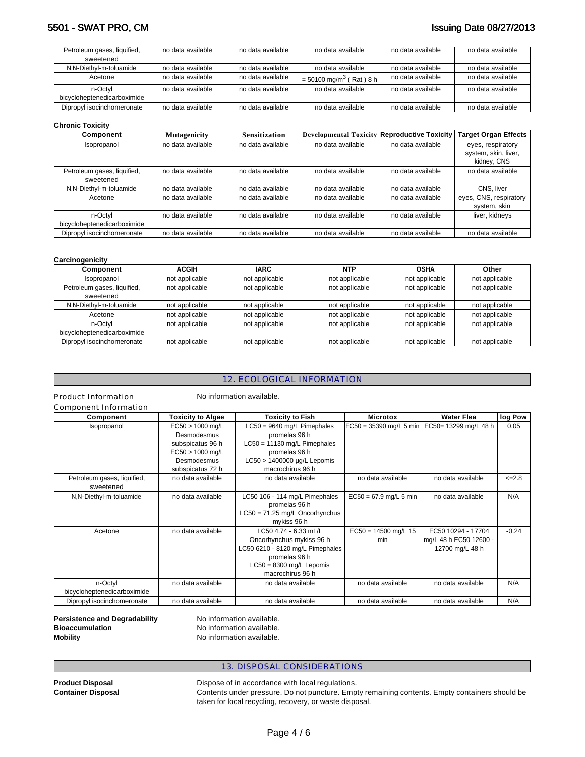## 5501 - SWAT PRO, CM **Issuing Date 08/27/2013**

| Petroleum gases, liquified,<br>sweetened | no data available | no data available | no data available                     | no data available | no data available |
|------------------------------------------|-------------------|-------------------|---------------------------------------|-------------------|-------------------|
| N,N-Diethyl-m-toluamide                  | no data available | no data available | no data available                     | no data available | no data available |
| Acetone                                  | no data available | no data available | $= 50100$ mg/m <sup>3</sup> (Rat) 8 h | no data available | no data available |
| n-Octvl                                  | no data available | no data available | no data available                     | no data available | no data available |
| bicycloheptenedicarboximide              |                   |                   |                                       |                   |                   |
| Dipropyl isocinchomeronate               | no data available | no data available | no data available                     | no data available | no data available |

### **Chronic Toxicity**

| Component                   | <b>Mutagenicity</b> | <b>Sensitization</b> | Developmental Toxicity Reproductive Toxicity |                   | <b>Target Organ Effects</b> |
|-----------------------------|---------------------|----------------------|----------------------------------------------|-------------------|-----------------------------|
| Isopropanol                 | no data available   | no data available    | no data available                            | no data available | eyes, respiratory           |
|                             |                     |                      |                                              |                   | system, skin, liver,        |
|                             |                     |                      |                                              |                   | kidney, CNS                 |
| Petroleum gases, liquified, | no data available   | no data available    | no data available                            | no data available | no data available           |
| sweetened                   |                     |                      |                                              |                   |                             |
| N,N-Diethyl-m-toluamide     | no data available   | no data available    | no data available                            | no data available | CNS. liver                  |
| Acetone                     | no data available   | no data available    | no data available                            | no data available | eyes, CNS, respiratory      |
|                             |                     |                      |                                              |                   | system, skin                |
| n-Octyl                     | no data available   | no data available    | no data available                            | no data available | liver, kidneys              |
| bicycloheptenedicarboximide |                     |                      |                                              |                   |                             |
| Dipropyl isocinchomeronate  | no data available   | no data available    | no data available                            | no data available | no data available           |

#### **Carcinogenicity**

| Component                   | <b>ACGIH</b>   | <b>IARC</b>    | <b>NTP</b>     | <b>OSHA</b>    | Other          |
|-----------------------------|----------------|----------------|----------------|----------------|----------------|
| Isopropanol                 | not applicable | not applicable | not applicable | not applicable | not applicable |
| Petroleum gases, liquified, | not applicable | not applicable | not applicable | not applicable | not applicable |
| sweetened                   |                |                |                |                |                |
| N,N-Diethyl-m-toluamide     | not applicable | not applicable | not applicable | not applicable | not applicable |
| Acetone                     | not applicable | not applicable | not applicable | not applicable | not applicable |
| n-Octvl                     | not applicable | not applicable | not applicable | not applicable | not applicable |
| bicycloheptenedicarboximide |                |                |                |                |                |
| Dipropyl isocinchomeronate  | not applicable | not applicable | not applicable | not applicable | not applicable |

## 12. ECOLOGICAL INFORMATION

### Product Information No information available.

Component Information

| Component                                | <b>Toxicity to Algae</b>                                                                                       | <b>Toxicity to Fish</b>                                                                                                                                                           | <b>Microtox</b>               | <b>Water Flea</b>                                               | log Pow    |
|------------------------------------------|----------------------------------------------------------------------------------------------------------------|-----------------------------------------------------------------------------------------------------------------------------------------------------------------------------------|-------------------------------|-----------------------------------------------------------------|------------|
| Isopropanol                              | $EC50 > 1000$ mg/L<br>Desmodesmus<br>subspicatus 96 h<br>$EC50 > 1000$ mg/L<br>Desmodesmus<br>subspicatus 72 h | $LC50 = 9640$ mg/L Pimephales<br>$EC50 = 35390$ mg/L 5 min<br>promelas 96 h<br>$LC50 = 11130$ mg/L Pimephales<br>promelas 96 h<br>LC50 > 1400000 µg/L Lepomis<br>macrochirus 96 h |                               | EC50= 13299 mg/L 48 h                                           | 0.05       |
| Petroleum gases, liquified,<br>sweetened | no data available                                                                                              | no data available                                                                                                                                                                 | no data available             | no data available                                               | $\leq 2.8$ |
| N,N-Diethyl-m-toluamide                  | no data available                                                                                              | LC50 106 - 114 mg/L Pimephales<br>promelas 96 h<br>$LC50 = 71.25$ mg/L Oncorhynchus<br>mykiss 96 h                                                                                | $EC50 = 67.9$ mg/L 5 min      | no data available                                               | N/A        |
| Acetone                                  | no data available                                                                                              | LC50 4.74 - 6.33 mL/L<br>Oncorhynchus mykiss 96 h<br>LC50 6210 - 8120 mg/L Pimephales<br>promelas 96 h<br>$LC50 = 8300$ mg/L Lepomis<br>macrochirus 96 h                          | $EC50 = 14500$ mg/L 15<br>min | EC50 10294 - 17704<br>mg/L 48 h EC50 12600 -<br>12700 mg/L 48 h | $-0.24$    |
| n-Octyl<br>bicycloheptenedicarboximide   | no data available                                                                                              | no data available                                                                                                                                                                 | no data available             | no data available                                               | N/A        |
| Dipropyl isocinchomeronate               | no data available                                                                                              | no data available                                                                                                                                                                 | no data available             | no data available                                               | N/A        |

**Persistence and Degradability No information available. Bioaccumulation No information available. Mobility Mobility No information available.** 

## 13. DISPOSAL CONSIDERATIONS

**Product Disposal <b>Product Disposal Dispose of in accordance with local regulations.**<br> **Contents under pressure.** Do not puncture. Emp Contents under pressure. Do not puncture. Empty remaining contents. Empty containers should be taken for local recycling, recovery, or waste disposal.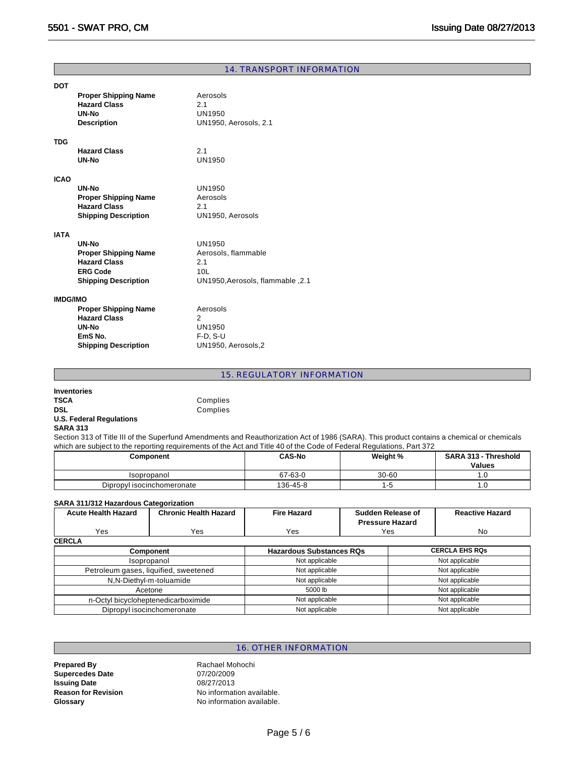|                 | 14. TRANSPORT INFORMATION   |                                  |  |  |  |  |
|-----------------|-----------------------------|----------------------------------|--|--|--|--|
| <b>DOT</b>      |                             |                                  |  |  |  |  |
|                 | <b>Proper Shipping Name</b> | Aerosols                         |  |  |  |  |
|                 | <b>Hazard Class</b>         | 2.1                              |  |  |  |  |
|                 | UN-No                       | UN1950                           |  |  |  |  |
|                 | <b>Description</b>          | UN1950, Aerosols, 2.1            |  |  |  |  |
|                 |                             |                                  |  |  |  |  |
| <b>TDG</b>      |                             |                                  |  |  |  |  |
|                 | <b>Hazard Class</b>         | 2.1                              |  |  |  |  |
|                 | UN-No                       | <b>UN1950</b>                    |  |  |  |  |
|                 |                             |                                  |  |  |  |  |
| <b>ICAO</b>     |                             |                                  |  |  |  |  |
|                 | UN-No                       | UN1950                           |  |  |  |  |
|                 | <b>Proper Shipping Name</b> | Aerosols                         |  |  |  |  |
|                 | <b>Hazard Class</b>         | 2.1                              |  |  |  |  |
|                 | <b>Shipping Description</b> | UN1950, Aerosols                 |  |  |  |  |
|                 |                             |                                  |  |  |  |  |
| <b>IATA</b>     |                             |                                  |  |  |  |  |
|                 | UN-No                       | UN1950                           |  |  |  |  |
|                 | <b>Proper Shipping Name</b> | Aerosols, flammable              |  |  |  |  |
|                 | <b>Hazard Class</b>         | 2.1                              |  |  |  |  |
|                 | <b>ERG Code</b>             | 10L                              |  |  |  |  |
|                 | <b>Shipping Description</b> | UN1950, Aerosols, flammable, 2.1 |  |  |  |  |
| <b>IMDG/IMO</b> |                             |                                  |  |  |  |  |
|                 | <b>Proper Shipping Name</b> | Aerosols                         |  |  |  |  |
|                 | <b>Hazard Class</b>         | 2                                |  |  |  |  |
|                 | UN-No                       | <b>UN1950</b>                    |  |  |  |  |
|                 | EmS <sub>No.</sub>          | $F-D, S-U$                       |  |  |  |  |
|                 | <b>Shipping Description</b> | UN1950, Aerosols,2               |  |  |  |  |
|                 |                             |                                  |  |  |  |  |

15. REGULATORY INFORMATION

| <b>Inventories</b>              |          |
|---------------------------------|----------|
| <b>TSCA</b>                     | Complies |
| <b>DSL</b>                      | Complies |
| <b>U.S. Federal Regulations</b> |          |
| <b>SARA 313</b>                 |          |

Section 313 of Title III of the Superfund Amendments and Reauthorization Act of 1986 (SARA). This product contains a chemical or chemicals which are subject to the reporting requirements of the Act and Title 40 of the Code of Federal Regulations, Part 372

| Component                  | <b>CAS-No</b> | Weight %  | <b>SARA 313 - Threshold</b><br><b>Values</b> |
|----------------------------|---------------|-----------|----------------------------------------------|
| Isopropanol                | 67-63-0       | $30 - 60$ | ι.υ                                          |
| Dipropyl isocinchomeronate | 136-45-8      | ÷         | . . U                                        |

#### **SARA 311/312 Hazardous Categorization**

| <b>Acute Health Hazard</b> | <b>Chronic Health Hazard</b>          | <b>Fire Hazard</b>              | Sudden Release of<br><b>Pressure Hazard</b> |                       | <b>Reactive Hazard</b> |  |  |  |  |
|----------------------------|---------------------------------------|---------------------------------|---------------------------------------------|-----------------------|------------------------|--|--|--|--|
| Yes                        | Yes                                   | Yes                             | Yes                                         |                       | No.                    |  |  |  |  |
| <b>CERCLA</b>              |                                       |                                 |                                             |                       |                        |  |  |  |  |
| <b>Component</b>           |                                       | <b>Hazardous Substances RQs</b> |                                             | <b>CERCLA EHS RQs</b> |                        |  |  |  |  |
|                            | Isopropanol                           | Not applicable                  |                                             | Not applicable        |                        |  |  |  |  |
|                            | Petroleum gases, liquified, sweetened | Not applicable                  |                                             | Not applicable        |                        |  |  |  |  |
|                            | N,N-Diethyl-m-toluamide               | Not applicable                  |                                             | Not applicable        |                        |  |  |  |  |
|                            | Acetone                               | 5000 lb                         |                                             | Not applicable        |                        |  |  |  |  |
|                            | n-Octyl bicycloheptenedicarboximide   | Not applicable                  |                                             | Not applicable        |                        |  |  |  |  |
|                            | Dipropyl isocinchomeronate            | Not applicable                  |                                             | Not applicable        |                        |  |  |  |  |

## 16. OTHER INFORMATION

**Prepared By** Rachael Mohochi **Supercedes Date Issuing Date 1888**<br> **Reason for Revision 1888**<br>
No informat **Glossary No information available.** 

**Reason for Revision** No information available.